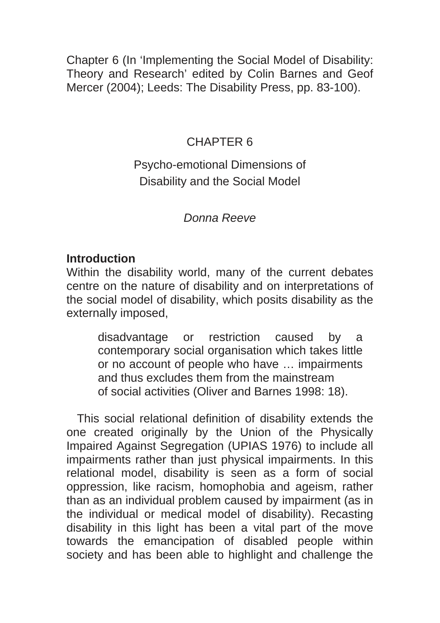Chapter 6 (In 'Implementing the Social Model of Disability: Theory and Research' edited by Colin Barnes and Geof Mercer (2004); Leeds: The Disability Press, pp. 83-100).

#### CHAPTER 6

# Psycho-emotional Dimensions of Disability and the Social Model

## *Donna Reeve*

#### **Introduction**

Within the disability world, many of the current debates centre on the nature of disability and on interpretations of the social model of disability, which posits disability as the externally imposed,

> disadvantage or restriction caused by a contemporary social organisation which takes little or no account of people who have … impairments and thus excludes them from the mainstream of social activities (Oliver and Barnes 1998: 18).

This social relational definition of disability extends the one created originally by the Union of the Physically Impaired Against Segregation (UPIAS 1976) to include all impairments rather than just physical impairments. In this relational model, disability is seen as a form of social oppression, like racism, homophobia and ageism, rather than as an individual problem caused by impairment (as in the individual or medical model of disability). Recasting disability in this light has been a vital part of the move towards the emancipation of disabled people within society and has been able to highlight and challenge the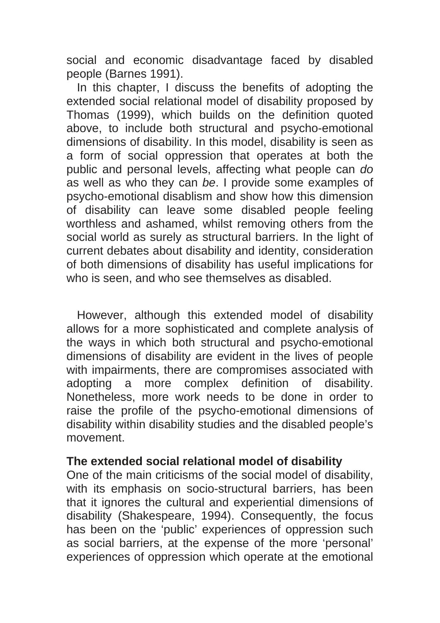social and economic disadvantage faced by disabled people (Barnes 1991).

In this chapter, I discuss the benefits of adopting the extended social relational model of disability proposed by Thomas (1999), which builds on the definition quoted above, to include both structural and psycho-emotional dimensions of disability. In this model, disability is seen as a form of social oppression that operates at both the public and personal levels, affecting what people can *do*  as well as who they can *be*. I provide some examples of psycho-emotional disablism and show how this dimension of disability can leave some disabled people feeling worthless and ashamed, whilst removing others from the social world as surely as structural barriers. In the light of current debates about disability and identity, consideration of both dimensions of disability has useful implications for who is seen, and who see themselves as disabled.

However, although this extended model of disability allows for a more sophisticated and complete analysis of the ways in which both structural and psycho-emotional dimensions of disability are evident in the lives of people with impairments, there are compromises associated with adopting a more complex definition of disability. Nonetheless, more work needs to be done in order to raise the profile of the psycho-emotional dimensions of disability within disability studies and the disabled people's movement.

#### **The extended social relational model of disability**

One of the main criticisms of the social model of disability, with its emphasis on socio-structural barriers, has been that it ignores the cultural and experiential dimensions of disability (Shakespeare, 1994). Consequently, the focus has been on the 'public' experiences of oppression such as social barriers, at the expense of the more 'personal' experiences of oppression which operate at the emotional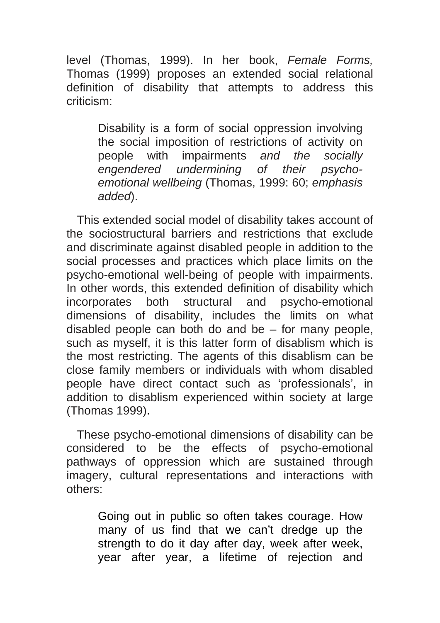level (Thomas, 1999). In her book, *Female Forms,*  Thomas (1999) proposes an extended social relational definition of disability that attempts to address this criticism:

> Disability is a form of social oppression involving the social imposition of restrictions of activity on people with impairments *and the socially engendered undermining of their psychoemotional wellbeing* (Thomas, 1999: 60; *emphasis added*).

This extended social model of disability takes account of the sociostructural barriers and restrictions that exclude and discriminate against disabled people in addition to the social processes and practices which place limits on the psycho-emotional well-being of people with impairments. In other words, this extended definition of disability which incorporates both structural and psycho-emotional dimensions of disability, includes the limits on what disabled people can both do and be – for many people, such as myself, it is this latter form of disablism which is the most restricting. The agents of this disablism can be close family members or individuals with whom disabled people have direct contact such as 'professionals', in addition to disablism experienced within society at large (Thomas 1999).

These psycho-emotional dimensions of disability can be considered to be the effects of psycho-emotional pathways of oppression which are sustained through imagery, cultural representations and interactions with others:

Going out in public so often takes courage. How many of us find that we can't dredge up the strength to do it day after day, week after week, year after year, a lifetime of rejection and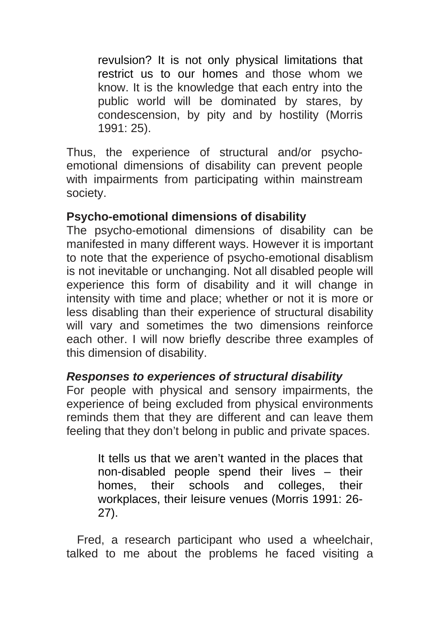revulsion? It is not only physical limitations that restrict us to our homes and those whom we know. It is the knowledge that each entry into the public world will be dominated by stares, by condescension, by pity and by hostility (Morris 1991: 25).

Thus, the experience of structural and/or psychoemotional dimensions of disability can prevent people with impairments from participating within mainstream society.

# **Psycho-emotional dimensions of disability**

The psycho-emotional dimensions of disability can be manifested in many different ways. However it is important to note that the experience of psycho-emotional disablism is not inevitable or unchanging. Not all disabled people will experience this form of disability and it will change in intensity with time and place; whether or not it is more or less disabling than their experience of structural disability will vary and sometimes the two dimensions reinforce each other. I will now briefly describe three examples of this dimension of disability.

## *Responses to experiences of structural disability*

For people with physical and sensory impairments, the experience of being excluded from physical environments reminds them that they are different and can leave them feeling that they don't belong in public and private spaces.

> It tells us that we aren't wanted in the places that non-disabled people spend their lives – their homes, their schools and colleges, their workplaces, their leisure venues (Morris 1991: 26- 27).

Fred, a research participant who used a wheelchair, talked to me about the problems he faced visiting a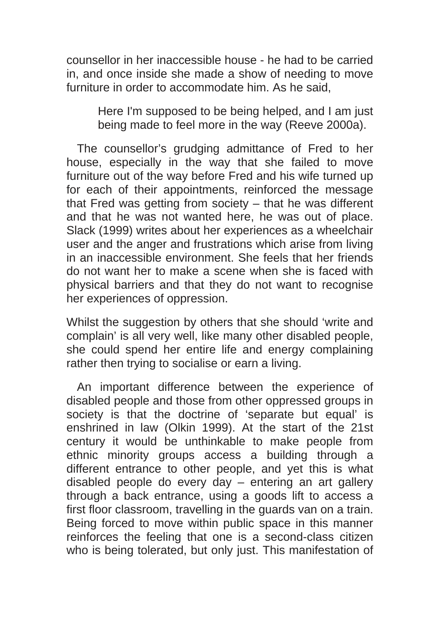counsellor in her inaccessible house - he had to be carried in, and once inside she made a show of needing to move furniture in order to accommodate him. As he said,

> Here I'm supposed to be being helped, and I am just being made to feel more in the way (Reeve 2000a).

The counsellor's grudging admittance of Fred to her house, especially in the way that she failed to move furniture out of the way before Fred and his wife turned up for each of their appointments, reinforced the message that Fred was getting from society – that he was different and that he was not wanted here, he was out of place. Slack (1999) writes about her experiences as a wheelchair user and the anger and frustrations which arise from living in an inaccessible environment. She feels that her friends do not want her to make a scene when she is faced with physical barriers and that they do not want to recognise her experiences of oppression.

Whilst the suggestion by others that she should 'write and complain' is all very well, like many other disabled people, she could spend her entire life and energy complaining rather then trying to socialise or earn a living.

An important difference between the experience of disabled people and those from other oppressed groups in society is that the doctrine of 'separate but equal' is enshrined in law (Olkin 1999). At the start of the 21st century it would be unthinkable to make people from ethnic minority groups access a building through a different entrance to other people, and yet this is what disabled people do every day – entering an art gallery through a back entrance, using a goods lift to access a first floor classroom, travelling in the guards van on a train. Being forced to move within public space in this manner reinforces the feeling that one is a second-class citizen who is being tolerated, but only just. This manifestation of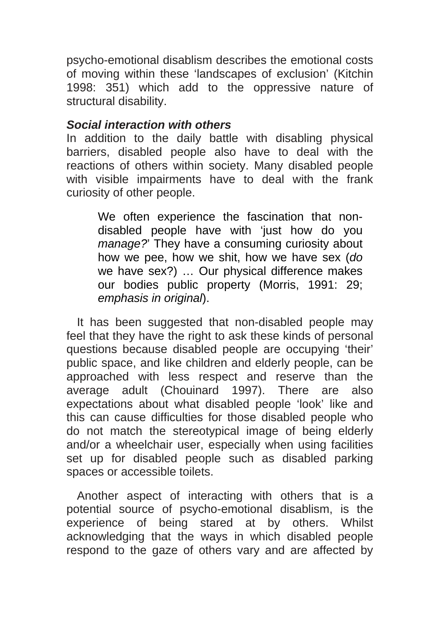psycho-emotional disablism describes the emotional costs of moving within these 'landscapes of exclusion' (Kitchin 1998: 351) which add to the oppressive nature of structural disability.

#### *Social interaction with others*

In addition to the daily battle with disabling physical barriers, disabled people also have to deal with the reactions of others within society. Many disabled people with visible impairments have to deal with the frank curiosity of other people.

> We often experience the fascination that nondisabled people have with 'just how do you *manage?*' They have a consuming curiosity about how we pee, how we shit, how we have sex (*do*  we have sex?) … Our physical difference makes our bodies public property (Morris, 1991: 29; *emphasis in original*).

It has been suggested that non-disabled people may feel that they have the right to ask these kinds of personal questions because disabled people are occupying 'their' public space, and like children and elderly people, can be approached with less respect and reserve than the average adult (Chouinard 1997). There are also expectations about what disabled people 'look' like and this can cause difficulties for those disabled people who do not match the stereotypical image of being elderly and/or a wheelchair user, especially when using facilities set up for disabled people such as disabled parking spaces or accessible toilets.

Another aspect of interacting with others that is a potential source of psycho-emotional disablism, is the experience of being stared at by others. Whilst acknowledging that the ways in which disabled people respond to the gaze of others vary and are affected by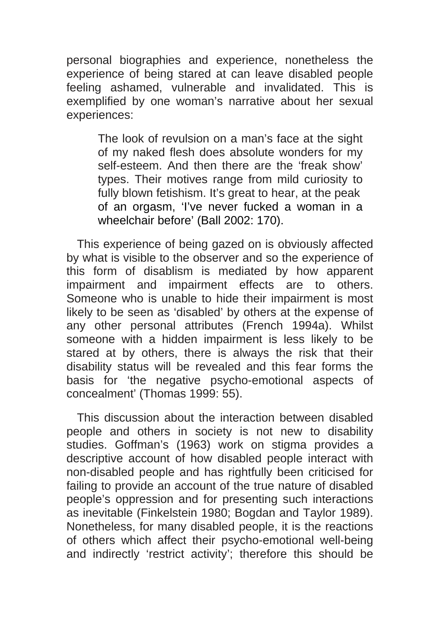personal biographies and experience, nonetheless the experience of being stared at can leave disabled people feeling ashamed, vulnerable and invalidated. This is exemplified by one woman's narrative about her sexual experiences:

> The look of revulsion on a man's face at the sight of my naked flesh does absolute wonders for my self-esteem. And then there are the 'freak show' types. Their motives range from mild curiosity to fully blown fetishism. It's great to hear, at the peak of an orgasm, 'I've never fucked a woman in a wheelchair before' (Ball 2002: 170).

This experience of being gazed on is obviously affected by what is visible to the observer and so the experience of this form of disablism is mediated by how apparent impairment and impairment effects are to others. Someone who is unable to hide their impairment is most likely to be seen as 'disabled' by others at the expense of any other personal attributes (French 1994a). Whilst someone with a hidden impairment is less likely to be stared at by others, there is always the risk that their disability status will be revealed and this fear forms the basis for 'the negative psycho-emotional aspects of concealment' (Thomas 1999: 55).

This discussion about the interaction between disabled people and others in society is not new to disability studies. Goffman's (1963) work on stigma provides a descriptive account of how disabled people interact with non-disabled people and has rightfully been criticised for failing to provide an account of the true nature of disabled people's oppression and for presenting such interactions as inevitable (Finkelstein 1980; Bogdan and Taylor 1989). Nonetheless, for many disabled people, it is the reactions of others which affect their psycho-emotional well-being and indirectly 'restrict activity'; therefore this should be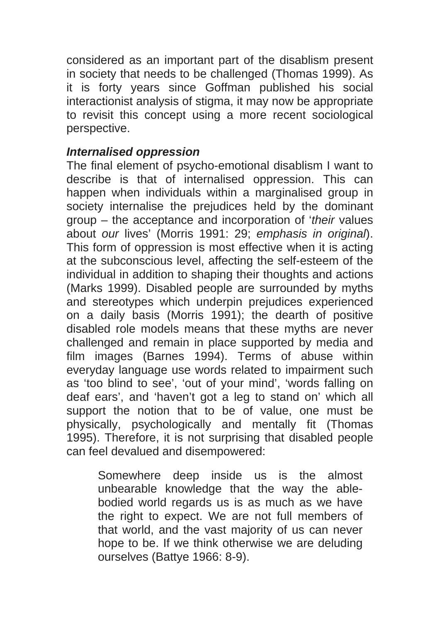considered as an important part of the disablism present in society that needs to be challenged (Thomas 1999). As it is forty years since Goffman published his social interactionist analysis of stigma, it may now be appropriate to revisit this concept using a more recent sociological perspective.

## *Internalised oppression*

The final element of psycho-emotional disablism I want to describe is that of internalised oppression. This can happen when individuals within a marginalised group in society internalise the prejudices held by the dominant group – the acceptance and incorporation of '*their* values about *our* lives' (Morris 1991: 29; *emphasis in original*). This form of oppression is most effective when it is acting at the subconscious level, affecting the self-esteem of the individual in addition to shaping their thoughts and actions (Marks 1999). Disabled people are surrounded by myths and stereotypes which underpin prejudices experienced on a daily basis (Morris 1991); the dearth of positive disabled role models means that these myths are never challenged and remain in place supported by media and film images (Barnes 1994). Terms of abuse within everyday language use words related to impairment such as 'too blind to see', 'out of your mind', 'words falling on deaf ears', and 'haven't got a leg to stand on' which all support the notion that to be of value, one must be physically, psychologically and mentally fit (Thomas 1995). Therefore, it is not surprising that disabled people can feel devalued and disempowered:

> Somewhere deep inside us is the almost unbearable knowledge that the way the ablebodied world regards us is as much as we have the right to expect. We are not full members of that world, and the vast majority of us can never hope to be. If we think otherwise we are deluding ourselves (Battye 1966: 8-9).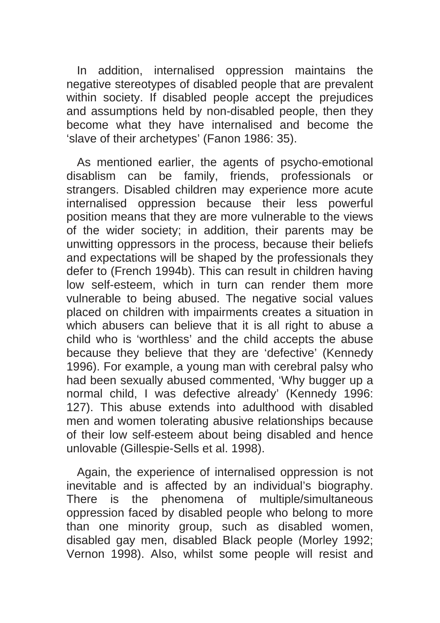In addition, internalised oppression maintains the negative stereotypes of disabled people that are prevalent within society. If disabled people accept the prejudices and assumptions held by non-disabled people, then they become what they have internalised and become the 'slave of their archetypes' (Fanon 1986: 35).

As mentioned earlier, the agents of psycho-emotional disablism can be family, friends, professionals or strangers. Disabled children may experience more acute internalised oppression because their less powerful position means that they are more vulnerable to the views of the wider society; in addition, their parents may be unwitting oppressors in the process, because their beliefs and expectations will be shaped by the professionals they defer to (French 1994b). This can result in children having low self-esteem, which in turn can render them more vulnerable to being abused. The negative social values placed on children with impairments creates a situation in which abusers can believe that it is all right to abuse a child who is 'worthless' and the child accepts the abuse because they believe that they are 'defective' (Kennedy 1996). For example, a young man with cerebral palsy who had been sexually abused commented, 'Why bugger up a normal child, I was defective already' (Kennedy 1996: 127). This abuse extends into adulthood with disabled men and women tolerating abusive relationships because of their low self-esteem about being disabled and hence unlovable (Gillespie-Sells et al. 1998).

Again, the experience of internalised oppression is not inevitable and is affected by an individual's biography. There is the phenomena of multiple/simultaneous oppression faced by disabled people who belong to more than one minority group, such as disabled women, disabled gay men, disabled Black people (Morley 1992; Vernon 1998). Also, whilst some people will resist and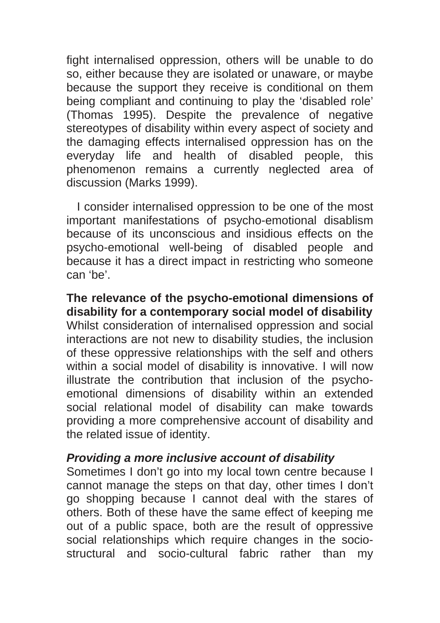fight internalised oppression, others will be unable to do so, either because they are isolated or unaware, or maybe because the support they receive is conditional on them being compliant and continuing to play the 'disabled role' (Thomas 1995). Despite the prevalence of negative stereotypes of disability within every aspect of society and the damaging effects internalised oppression has on the everyday life and health of disabled people, this phenomenon remains a currently neglected area of discussion (Marks 1999).

I consider internalised oppression to be one of the most important manifestations of psycho-emotional disablism because of its unconscious and insidious effects on the psycho-emotional well-being of disabled people and because it has a direct impact in restricting who someone can 'be'.

**The relevance of the psycho-emotional dimensions of disability for a contemporary social model of disability**  Whilst consideration of internalised oppression and social interactions are not new to disability studies, the inclusion of these oppressive relationships with the self and others within a social model of disability is innovative. I will now illustrate the contribution that inclusion of the psychoemotional dimensions of disability within an extended social relational model of disability can make towards providing a more comprehensive account of disability and the related issue of identity.

#### *Providing a more inclusive account of disability*

Sometimes I don't go into my local town centre because I cannot manage the steps on that day, other times I don't go shopping because I cannot deal with the stares of others. Both of these have the same effect of keeping me out of a public space, both are the result of oppressive social relationships which require changes in the sociostructural and socio-cultural fabric rather than my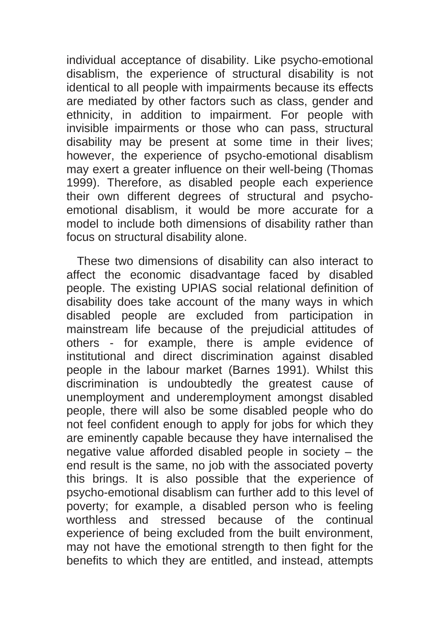individual acceptance of disability. Like psycho-emotional disablism, the experience of structural disability is not identical to all people with impairments because its effects are mediated by other factors such as class, gender and ethnicity, in addition to impairment. For people with invisible impairments or those who can pass, structural disability may be present at some time in their lives; however, the experience of psycho-emotional disablism may exert a greater influence on their well-being (Thomas 1999). Therefore, as disabled people each experience their own different degrees of structural and psychoemotional disablism, it would be more accurate for a model to include both dimensions of disability rather than focus on structural disability alone.

These two dimensions of disability can also interact to affect the economic disadvantage faced by disabled people. The existing UPIAS social relational definition of disability does take account of the many ways in which disabled people are excluded from participation in mainstream life because of the prejudicial attitudes of others - for example, there is ample evidence of institutional and direct discrimination against disabled people in the labour market (Barnes 1991). Whilst this discrimination is undoubtedly the greatest cause of unemployment and underemployment amongst disabled people, there will also be some disabled people who do not feel confident enough to apply for jobs for which they are eminently capable because they have internalised the negative value afforded disabled people in society – the end result is the same, no job with the associated poverty this brings. It is also possible that the experience of psycho-emotional disablism can further add to this level of poverty; for example, a disabled person who is feeling worthless and stressed because of the continual experience of being excluded from the built environment, may not have the emotional strength to then fight for the benefits to which they are entitled, and instead, attempts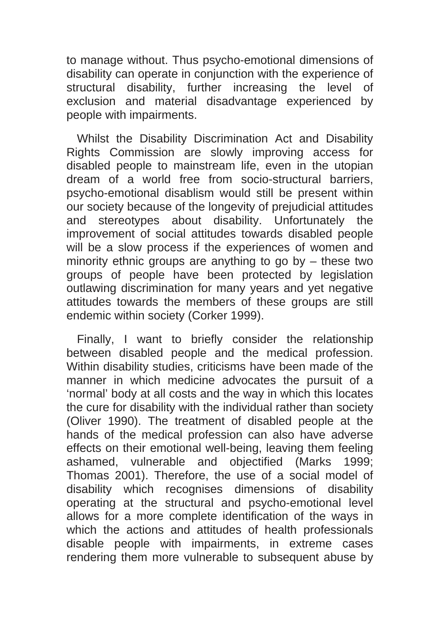to manage without. Thus psycho-emotional dimensions of disability can operate in conjunction with the experience of structural disability, further increasing the level of exclusion and material disadvantage experienced by people with impairments.

Whilst the Disability Discrimination Act and Disability Rights Commission are slowly improving access for disabled people to mainstream life, even in the utopian dream of a world free from socio-structural barriers, psycho-emotional disablism would still be present within our society because of the longevity of prejudicial attitudes and stereotypes about disability. Unfortunately the improvement of social attitudes towards disabled people will be a slow process if the experiences of women and minority ethnic groups are anything to go by – these two groups of people have been protected by legislation outlawing discrimination for many years and yet negative attitudes towards the members of these groups are still endemic within society (Corker 1999).

Finally, I want to briefly consider the relationship between disabled people and the medical profession. Within disability studies, criticisms have been made of the manner in which medicine advocates the pursuit of a 'normal' body at all costs and the way in which this locates the cure for disability with the individual rather than society (Oliver 1990). The treatment of disabled people at the hands of the medical profession can also have adverse effects on their emotional well-being, leaving them feeling ashamed, vulnerable and objectified (Marks 1999; Thomas 2001). Therefore, the use of a social model of disability which recognises dimensions of disability operating at the structural and psycho-emotional level allows for a more complete identification of the ways in which the actions and attitudes of health professionals disable people with impairments, in extreme cases rendering them more vulnerable to subsequent abuse by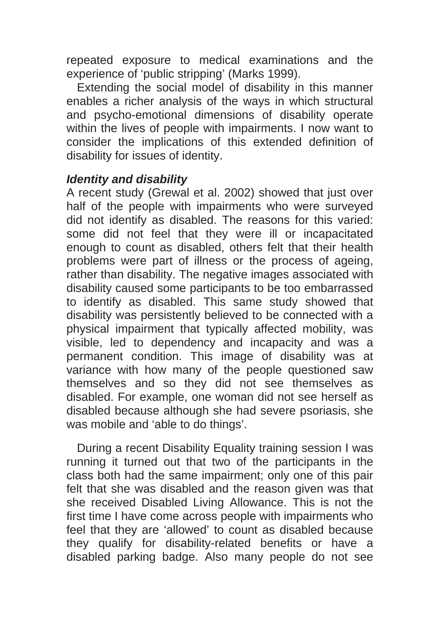repeated exposure to medical examinations and the experience of 'public stripping' (Marks 1999).

Extending the social model of disability in this manner enables a richer analysis of the ways in which structural and psycho-emotional dimensions of disability operate within the lives of people with impairments. I now want to consider the implications of this extended definition of disability for issues of identity.

#### *Identity and disability*

A recent study (Grewal et al. 2002) showed that just over half of the people with impairments who were surveyed did not identify as disabled. The reasons for this varied: some did not feel that they were ill or incapacitated enough to count as disabled, others felt that their health problems were part of illness or the process of ageing, rather than disability. The negative images associated with disability caused some participants to be too embarrassed to identify as disabled. This same study showed that disability was persistently believed to be connected with a physical impairment that typically affected mobility, was visible, led to dependency and incapacity and was a permanent condition. This image of disability was at variance with how many of the people questioned saw themselves and so they did not see themselves as disabled. For example, one woman did not see herself as disabled because although she had severe psoriasis, she was mobile and 'able to do things'.

During a recent Disability Equality training session I was running it turned out that two of the participants in the class both had the same impairment; only one of this pair felt that she was disabled and the reason given was that she received Disabled Living Allowance. This is not the first time I have come across people with impairments who feel that they are 'allowed' to count as disabled because they qualify for disability-related benefits or have a disabled parking badge. Also many people do not see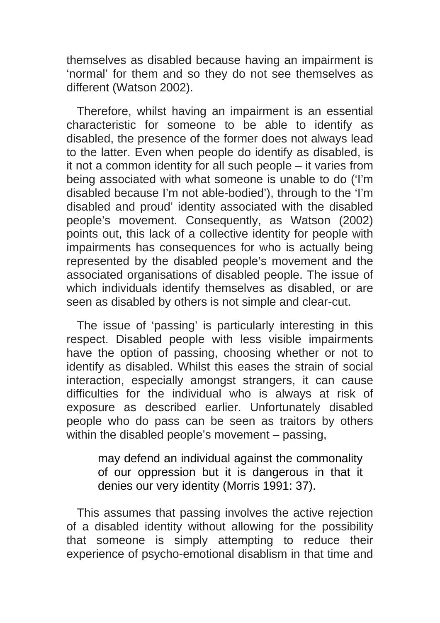themselves as disabled because having an impairment is 'normal' for them and so they do not see themselves as different (Watson 2002).

Therefore, whilst having an impairment is an essential characteristic for someone to be able to identify as disabled, the presence of the former does not always lead to the latter. Even when people do identify as disabled, is it not a common identity for all such people – it varies from being associated with what someone is unable to do ('I'm disabled because I'm not able-bodied'), through to the 'I'm disabled and proud' identity associated with the disabled people's movement. Consequently, as Watson (2002) points out, this lack of a collective identity for people with impairments has consequences for who is actually being represented by the disabled people's movement and the associated organisations of disabled people. The issue of which individuals identify themselves as disabled, or are seen as disabled by others is not simple and clear-cut.

The issue of 'passing' is particularly interesting in this respect. Disabled people with less visible impairments have the option of passing, choosing whether or not to identify as disabled. Whilst this eases the strain of social interaction, especially amongst strangers, it can cause difficulties for the individual who is always at risk of exposure as described earlier. Unfortunately disabled people who do pass can be seen as traitors by others within the disabled people's movement – passing,

> may defend an individual against the commonality of our oppression but it is dangerous in that it denies our very identity (Morris 1991: 37).

This assumes that passing involves the active rejection of a disabled identity without allowing for the possibility that someone is simply attempting to reduce their experience of psycho-emotional disablism in that time and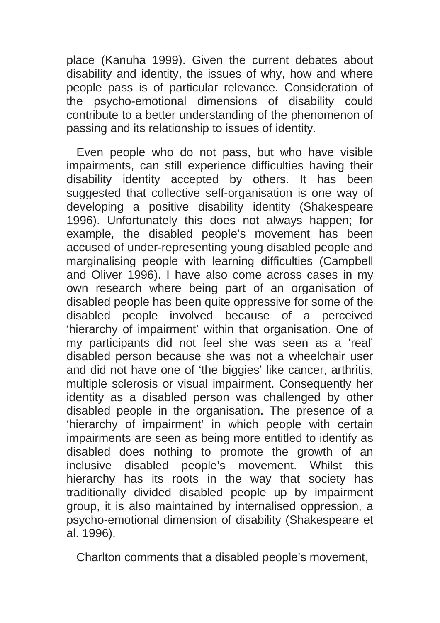place (Kanuha 1999). Given the current debates about disability and identity, the issues of why, how and where people pass is of particular relevance. Consideration of the psycho-emotional dimensions of disability could contribute to a better understanding of the phenomenon of passing and its relationship to issues of identity.

Even people who do not pass, but who have visible impairments, can still experience difficulties having their disability identity accepted by others. It has been suggested that collective self-organisation is one way of developing a positive disability identity (Shakespeare 1996). Unfortunately this does not always happen; for example, the disabled people's movement has been accused of under-representing young disabled people and marginalising people with learning difficulties (Campbell and Oliver 1996). I have also come across cases in my own research where being part of an organisation of disabled people has been quite oppressive for some of the disabled people involved because of a perceived 'hierarchy of impairment' within that organisation. One of my participants did not feel she was seen as a 'real' disabled person because she was not a wheelchair user and did not have one of 'the biggies' like cancer, arthritis, multiple sclerosis or visual impairment. Consequently her identity as a disabled person was challenged by other disabled people in the organisation. The presence of a 'hierarchy of impairment' in which people with certain impairments are seen as being more entitled to identify as disabled does nothing to promote the growth of an inclusive disabled people's movement. Whilst this hierarchy has its roots in the way that society has traditionally divided disabled people up by impairment group, it is also maintained by internalised oppression, a psycho-emotional dimension of disability (Shakespeare et al. 1996).

Charlton comments that a disabled people's movement,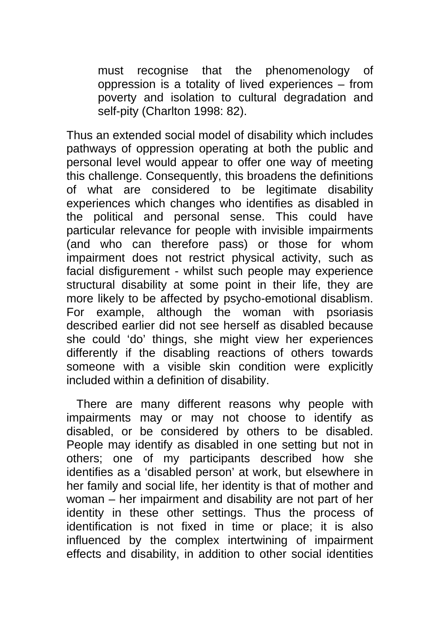must recognise that the phenomenology of oppression is a totality of lived experiences – from poverty and isolation to cultural degradation and self-pity (Charlton 1998: 82).

Thus an extended social model of disability which includes pathways of oppression operating at both the public and personal level would appear to offer one way of meeting this challenge. Consequently, this broadens the definitions of what are considered to be legitimate disability experiences which changes who identifies as disabled in the political and personal sense. This could have particular relevance for people with invisible impairments (and who can therefore pass) or those for whom impairment does not restrict physical activity, such as facial disfigurement - whilst such people may experience structural disability at some point in their life, they are more likely to be affected by psycho-emotional disablism. For example, although the woman with psoriasis described earlier did not see herself as disabled because she could 'do' things, she might view her experiences differently if the disabling reactions of others towards someone with a visible skin condition were explicitly included within a definition of disability.

There are many different reasons why people with impairments may or may not choose to identify as disabled, or be considered by others to be disabled. People may identify as disabled in one setting but not in others; one of my participants described how she identifies as a 'disabled person' at work, but elsewhere in her family and social life, her identity is that of mother and woman – her impairment and disability are not part of her identity in these other settings. Thus the process of identification is not fixed in time or place; it is also influenced by the complex intertwining of impairment effects and disability, in addition to other social identities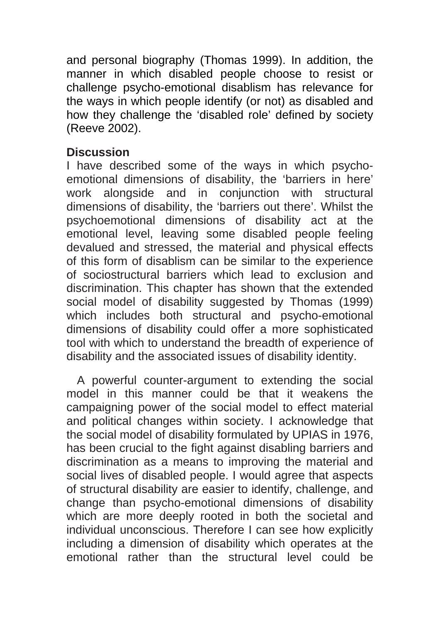and personal biography (Thomas 1999). In addition, the manner in which disabled people choose to resist or challenge psycho-emotional disablism has relevance for the ways in which people identify (or not) as disabled and how they challenge the 'disabled role' defined by society (Reeve 2002).

#### **Discussion**

I have described some of the ways in which psychoemotional dimensions of disability, the 'barriers in here' work alongside and in conjunction with structural dimensions of disability, the 'barriers out there'. Whilst the psychoemotional dimensions of disability act at the emotional level, leaving some disabled people feeling devalued and stressed, the material and physical effects of this form of disablism can be similar to the experience of sociostructural barriers which lead to exclusion and discrimination. This chapter has shown that the extended social model of disability suggested by Thomas (1999) which includes both structural and psycho-emotional dimensions of disability could offer a more sophisticated tool with which to understand the breadth of experience of disability and the associated issues of disability identity.

A powerful counter-argument to extending the social model in this manner could be that it weakens the campaigning power of the social model to effect material and political changes within society. I acknowledge that the social model of disability formulated by UPIAS in 1976, has been crucial to the fight against disabling barriers and discrimination as a means to improving the material and social lives of disabled people. I would agree that aspects of structural disability are easier to identify, challenge, and change than psycho-emotional dimensions of disability which are more deeply rooted in both the societal and individual unconscious. Therefore I can see how explicitly including a dimension of disability which operates at the emotional rather than the structural level could be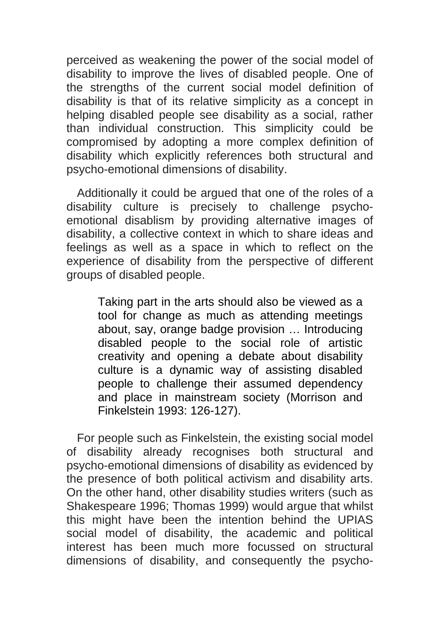perceived as weakening the power of the social model of disability to improve the lives of disabled people. One of the strengths of the current social model definition of disability is that of its relative simplicity as a concept in helping disabled people see disability as a social, rather than individual construction. This simplicity could be compromised by adopting a more complex definition of disability which explicitly references both structural and psycho-emotional dimensions of disability.

Additionally it could be argued that one of the roles of a disability culture is precisely to challenge psychoemotional disablism by providing alternative images of disability, a collective context in which to share ideas and feelings as well as a space in which to reflect on the experience of disability from the perspective of different groups of disabled people.

> Taking part in the arts should also be viewed as a tool for change as much as attending meetings about, say, orange badge provision … Introducing disabled people to the social role of artistic creativity and opening a debate about disability culture is a dynamic way of assisting disabled people to challenge their assumed dependency and place in mainstream society (Morrison and Finkelstein 1993: 126-127).

For people such as Finkelstein, the existing social model of disability already recognises both structural and psycho-emotional dimensions of disability as evidenced by the presence of both political activism and disability arts. On the other hand, other disability studies writers (such as Shakespeare 1996; Thomas 1999) would argue that whilst this might have been the intention behind the UPIAS social model of disability, the academic and political interest has been much more focussed on structural dimensions of disability, and consequently the psycho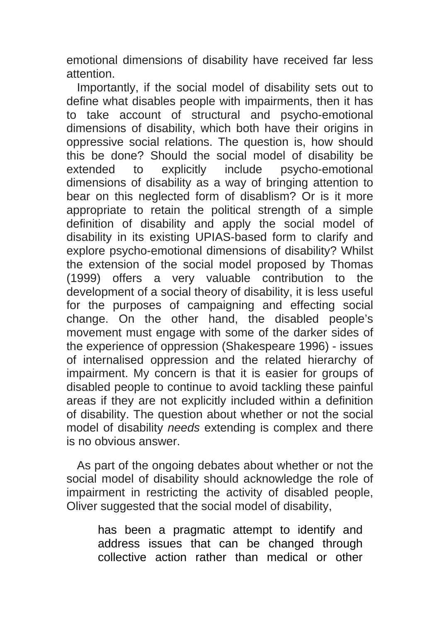emotional dimensions of disability have received far less attention.

Importantly, if the social model of disability sets out to define what disables people with impairments, then it has to take account of structural and psycho-emotional dimensions of disability, which both have their origins in oppressive social relations. The question is, how should this be done? Should the social model of disability be extended to explicitly include psycho-emotional dimensions of disability as a way of bringing attention to bear on this neglected form of disablism? Or is it more appropriate to retain the political strength of a simple definition of disability and apply the social model of disability in its existing UPIAS-based form to clarify and explore psycho-emotional dimensions of disability? Whilst the extension of the social model proposed by Thomas (1999) offers a very valuable contribution to the development of a social theory of disability, it is less useful for the purposes of campaigning and effecting social change. On the other hand, the disabled people's movement must engage with some of the darker sides of the experience of oppression (Shakespeare 1996) - issues of internalised oppression and the related hierarchy of impairment. My concern is that it is easier for groups of disabled people to continue to avoid tackling these painful areas if they are not explicitly included within a definition of disability. The question about whether or not the social model of disability *needs* extending is complex and there is no obvious answer.

As part of the ongoing debates about whether or not the social model of disability should acknowledge the role of impairment in restricting the activity of disabled people, Oliver suggested that the social model of disability,

> has been a pragmatic attempt to identify and address issues that can be changed through collective action rather than medical or other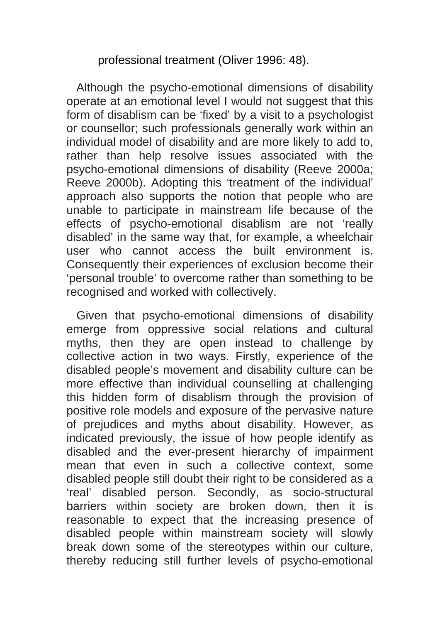professional treatment (Oliver 1996: 48).

Although the psycho-emotional dimensions of disability operate at an emotional level I would not suggest that this form of disablism can be 'fixed' by a visit to a psychologist or counsellor; such professionals generally work within an individual model of disability and are more likely to add to, rather than help resolve issues associated with the psycho-emotional dimensions of disability (Reeve 2000a; Reeve 2000b). Adopting this 'treatment of the individual' approach also supports the notion that people who are unable to participate in mainstream life because of the effects of psycho-emotional disablism are not 'really disabled' in the same way that, for example, a wheelchair user who cannot access the built environment is. Consequently their experiences of exclusion become their 'personal trouble' to overcome rather than something to be recognised and worked with collectively.

Given that psycho-emotional dimensions of disability emerge from oppressive social relations and cultural myths, then they are open instead to challenge by collective action in two ways. Firstly, experience of the disabled people's movement and disability culture can be more effective than individual counselling at challenging this hidden form of disablism through the provision of positive role models and exposure of the pervasive nature of prejudices and myths about disability. However, as indicated previously, the issue of how people identify as disabled and the ever-present hierarchy of impairment mean that even in such a collective context, some disabled people still doubt their right to be considered as a 'real' disabled person. Secondly, as socio-structural barriers within society are broken down, then it is reasonable to expect that the increasing presence of disabled people within mainstream society will slowly break down some of the stereotypes within our culture, thereby reducing still further levels of psycho-emotional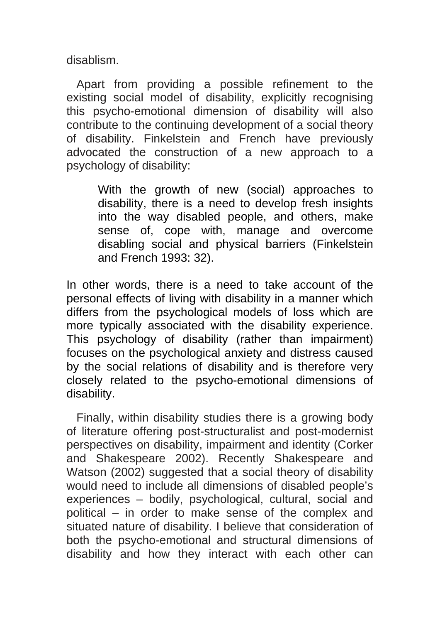disablism.

Apart from providing a possible refinement to the existing social model of disability, explicitly recognising this psycho-emotional dimension of disability will also contribute to the continuing development of a social theory of disability. Finkelstein and French have previously advocated the construction of a new approach to a psychology of disability:

> With the growth of new (social) approaches to disability, there is a need to develop fresh insights into the way disabled people, and others, make sense of, cope with, manage and overcome disabling social and physical barriers (Finkelstein and French 1993: 32).

In other words, there is a need to take account of the personal effects of living with disability in a manner which differs from the psychological models of loss which are more typically associated with the disability experience. This psychology of disability (rather than impairment) focuses on the psychological anxiety and distress caused by the social relations of disability and is therefore very closely related to the psycho-emotional dimensions of disability.

Finally, within disability studies there is a growing body of literature offering post-structuralist and post-modernist perspectives on disability, impairment and identity (Corker and Shakespeare 2002). Recently Shakespeare and Watson (2002) suggested that a social theory of disability would need to include all dimensions of disabled people's experiences – bodily, psychological, cultural, social and political – in order to make sense of the complex and situated nature of disability. I believe that consideration of both the psycho-emotional and structural dimensions of disability and how they interact with each other can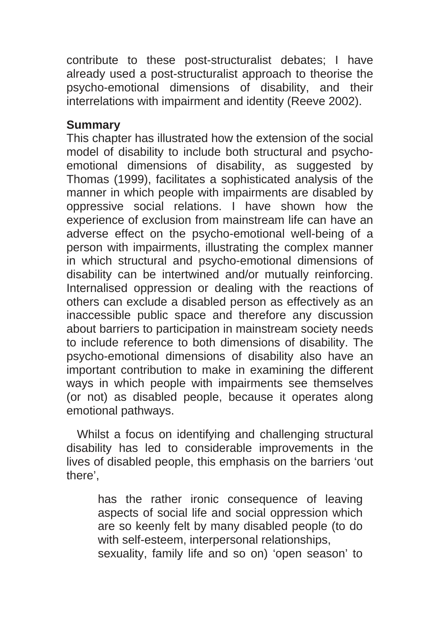contribute to these post-structuralist debates; I have already used a post-structuralist approach to theorise the psycho-emotional dimensions of disability, and their interrelations with impairment and identity (Reeve 2002).

#### **Summary**

This chapter has illustrated how the extension of the social model of disability to include both structural and psychoemotional dimensions of disability, as suggested by Thomas (1999), facilitates a sophisticated analysis of the manner in which people with impairments are disabled by oppressive social relations. I have shown how the experience of exclusion from mainstream life can have an adverse effect on the psycho-emotional well-being of a person with impairments, illustrating the complex manner in which structural and psycho-emotional dimensions of disability can be intertwined and/or mutually reinforcing. Internalised oppression or dealing with the reactions of others can exclude a disabled person as effectively as an inaccessible public space and therefore any discussion about barriers to participation in mainstream society needs to include reference to both dimensions of disability. The psycho-emotional dimensions of disability also have an important contribution to make in examining the different ways in which people with impairments see themselves (or not) as disabled people, because it operates along emotional pathways.

Whilst a focus on identifying and challenging structural disability has led to considerable improvements in the lives of disabled people, this emphasis on the barriers 'out there',

> has the rather ironic consequence of leaving aspects of social life and social oppression which are so keenly felt by many disabled people (to do with self-esteem, interpersonal relationships, sexuality, family life and so on) 'open season' to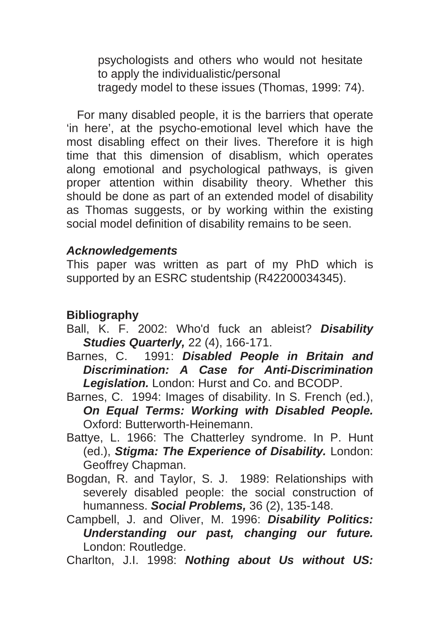psychologists and others who would not hesitate to apply the individualistic/personal tragedy model to these issues (Thomas, 1999: 74).

For many disabled people, it is the barriers that operate 'in here', at the psycho-emotional level which have the most disabling effect on their lives. Therefore it is high time that this dimension of disablism, which operates along emotional and psychological pathways, is given proper attention within disability theory. Whether this should be done as part of an extended model of disability as Thomas suggests, or by working within the existing social model definition of disability remains to be seen.

#### *Acknowledgements*

This paper was written as part of my PhD which is supported by an ESRC studentship (R42200034345).

## **Bibliography**

- Ball, K. F. 2002: Who'd fuck an ableist? *Disability Studies Quarterly,* 22 (4), 166-171.
- Barnes, C. 1991: *Disabled People in Britain and Discrimination: A Case for Anti-Discrimination Legislation.* London: Hurst and Co. and BCODP.

Barnes, C. 1994: Images of disability. In S. French (ed.), *On Equal Terms: Working with Disabled People.*  Oxford: Butterworth-Heinemann.

- Battye, L. 1966: The Chatterley syndrome. In P. Hunt (ed.), *Stigma: The Experience of Disability.* London: Geoffrey Chapman.
- Bogdan, R. and Taylor, S. J. 1989: Relationships with severely disabled people: the social construction of humanness. *Social Problems,* 36 (2), 135-148.
- Campbell, J. and Oliver, M. 1996: *Disability Politics: Understanding our past, changing our future.*  London: Routledge.

Charlton, J.I. 1998: *Nothing about Us without US:*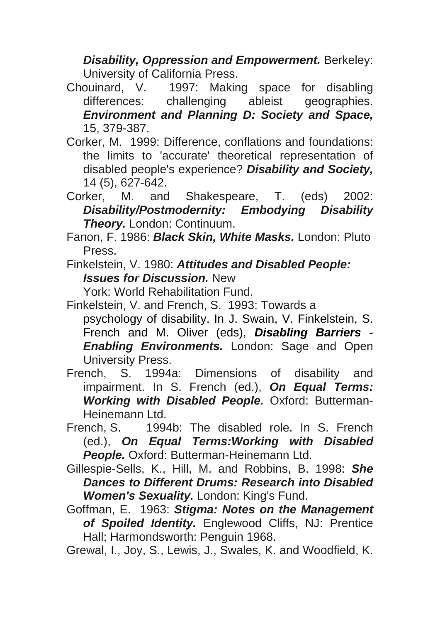*Disability, Oppression and Empowerment.* Berkeley: University of California Press.

Chouinard, V. 1997: Making space for disabling differences: challenging ableist geographies. *Environment and Planning D: Society and Space,*  15, 379-387.

- Corker, M. 1999: Difference, conflations and foundations: the limits to 'accurate' theoretical representation of disabled people's experience? *Disability and Society,*  14 (5), 627-642.
- Corker, M. and Shakespeare, T. (eds) 2002: *Disability/Postmodernity: Embodying Disability Theory.* London: Continuum.
- Fanon, F. 1986: *Black Skin, White Masks.* London: Pluto Press.
- Finkelstein, V. 1980: *Attitudes and Disabled People: Issues for Discussion.* New

York: World Rehabilitation Fund.

- Finkelstein, V. and French, S. 1993: Towards a psychology of disability. In J. Swain, V. Finkelstein, S. French and M. Oliver (eds), *Disabling Barriers - Enabling Environments.* London: Sage and Open University Press.
- French, S. 1994a: Dimensions of disability and impairment. In S. French (ed.), *On Equal Terms: Working with Disabled People.* Oxford: Butterman-Heinemann Ltd.
- French, S. 1994b: The disabled role. In S. French (ed.), *On Equal Terms:Working with Disabled*  **People.** Oxford: Butterman-Heinemann Ltd.
- Gillespie-Sells, K., Hill, M. and Robbins, B. 1998: *She Dances to Different Drums: Research into Disabled Women's Sexuality.* London: King's Fund.
- Goffman, E. 1963: *Stigma: Notes on the Management of Spoiled Identity.* Englewood Cliffs, NJ: Prentice Hall; Harmondsworth: Penguin 1968.

Grewal, I., Joy, S., Lewis, J., Swales, K. and Woodfield, K.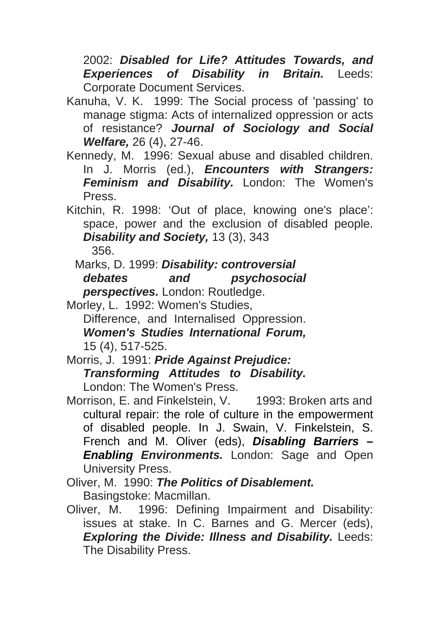2002: *Disabled for Life? Attitudes Towards, and Experiences of Disability in Britain.* Leeds: Corporate Document Services.

- Kanuha, V. K. 1999: The Social process of 'passing' to manage stigma: Acts of internalized oppression or acts of resistance? *Journal of Sociology and Social Welfare,* 26 (4), 27-46.
- Kennedy, M. 1996: Sexual abuse and disabled children. In J. Morris (ed.), *Encounters with Strangers: Feminism and Disability.* London: The Women's Press.

Kitchin, R. 1998: 'Out of place, knowing one's place': space, power and the exclusion of disabled people. *Disability and Society,* 13 (3), 343 356.

Marks, D. 1999: *Disability: controversial debates and psychosocial perspectives.* London: Routledge.

Morley, L. 1992: Women's Studies, Difference, and Internalised Oppression. *Women's Studies International Forum,*  15 (4), 517-525.

Morris, J. 1991: *Pride Against Prejudice: Transforming Attitudes to Disability.*  London: The Women's Press.

- Morrison, E. and Finkelstein, V. 1993: Broken arts and cultural repair: the role of culture in the empowerment of disabled people. In J. Swain, V. Finkelstein, S. French and M. Oliver (eds), *Disabling Barriers – Enabling Environments.* London: Sage and Open University Press.
- Oliver, M. 1990: *The Politics of Disablement.*  Basingstoke: Macmillan.
- Oliver, M. 1996: Defining Impairment and Disability: issues at stake. In C. Barnes and G. Mercer (eds), *Exploring the Divide: Illness and Disability.* Leeds: The Disability Press.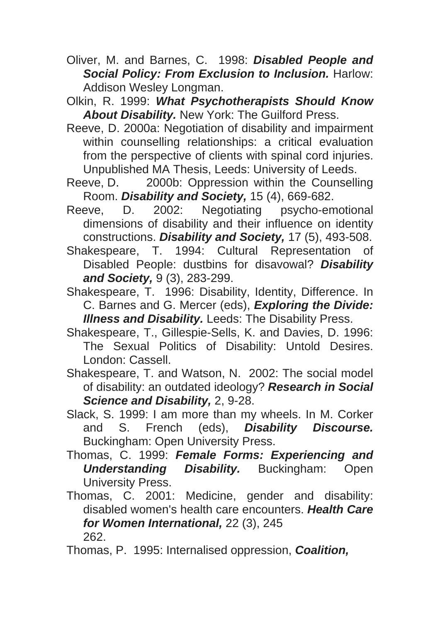- Oliver, M. and Barnes, C. 1998: *Disabled People and*  **Social Policy: From Exclusion to Inclusion.** Harlow: Addison Wesley Longman.
- Olkin, R. 1999: *What Psychotherapists Should Know About Disability.* New York: The Guilford Press.
- Reeve, D. 2000a: Negotiation of disability and impairment within counselling relationships: a critical evaluation from the perspective of clients with spinal cord injuries. Unpublished MA Thesis, Leeds: University of Leeds.
- Reeve, D. 2000b: Oppression within the Counselling Room. *Disability and Society,* 15 (4), 669-682.
- Reeve, D. 2002: Negotiating psycho-emotional dimensions of disability and their influence on identity constructions. *Disability and Society,* 17 (5), 493-508.
- Shakespeare, T. 1994: Cultural Representation of Disabled People: dustbins for disavowal? *Disability and Society,* 9 (3), 283-299.
- Shakespeare, T. 1996: Disability, Identity, Difference. In C. Barnes and G. Mercer (eds), *Exploring the Divide: Illness and Disability.* Leeds: The Disability Press.
- Shakespeare, T., Gillespie-Sells, K. and Davies, D. 1996: The Sexual Politics of Disability: Untold Desires. London: Cassell.
- Shakespeare, T. and Watson, N. 2002: The social model of disability: an outdated ideology? *Research in Social Science and Disability,* 2, 9-28.
- Slack, S. 1999: I am more than my wheels. In M. Corker and S. French (eds), *Disability Discourse.*  Buckingham: Open University Press.
- Thomas, C. 1999: *Female Forms: Experiencing and Understanding Disability.* Buckingham: Open University Press.
- Thomas, C. 2001: Medicine, gender and disability: disabled women's health care encounters. *Health Care for Women International,* 22 (3), 245 262.
- Thomas, P. 1995: Internalised oppression, *Coalition,*